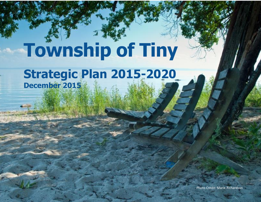# **Township of Tiny**

# **Strategic Plan 2015-2020 December 2015**

Photo Credit: Marie Richardson

Photo By: Marie Richardson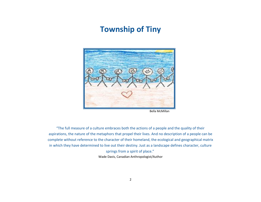# **Township of Tiny**



Bella McMillan

"The full measure of a culture embraces both the actions of a people and the quality of their aspirations, the nature of the metaphors that propel their lives. And no description of a people can be complete without reference to the character of their homeland, the ecological and geographical matrix in which they have determined to live out their destiny. Just as a landscape defines character, culture

springs from a spirit of place."

[Wade Davis,](https://www.goodreads.com/author/show/4652058.Wade_Davis) Canadian Anthropologist/Author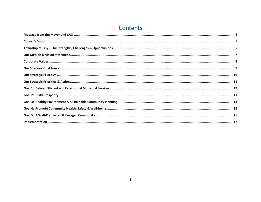# Contents

| $\small \textsf{Implementation} \, \textcolor{red}{\textbf{.\textbf{1}}}\, \textcolor{red}{\textbf{.}} \textcolor{red}{\textbf{.}} \textcolor{red}{\textbf{.}} \textcolor{red}{\textbf{.}} \textcolor{red}{\textbf{.}} \textcolor{red}{\textbf{.}} \textcolor{red}{\textbf{.}} \textcolor{red}{\textbf{.}} \textcolor{red}{\textbf{.}} \textcolor{red}{\textbf{.}} \textcolor{red}{\textbf{.}} \textcolor{red}{\textbf{.}} \textcolor{red}{\textbf{.}} \textcolor{red}{\textbf{.}} \textcolor{red}{\textbf{.}} \textcolor{red}{\textbf{.}}$ |
|---------------------------------------------------------------------------------------------------------------------------------------------------------------------------------------------------------------------------------------------------------------------------------------------------------------------------------------------------------------------------------------------------------------------------------------------------------------------------------------------------------------------------------------------|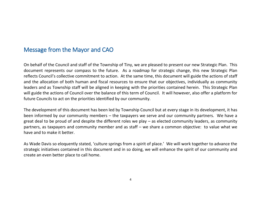## <span id="page-3-0"></span>Message from the Mayor and CAO

On behalf of the Council and staff of the Township of Tiny, we are pleased to present our new Strategic Plan. This document represents our compass to the future. As a roadmap for strategic change, this new Strategic Plan reflects Council's collective commitment to action. At the same time, this document will guide the actions of staff and the allocation of both human and fiscal resources to ensure that our objectives, individually as community leaders and as Township staff will be aligned in keeping with the priorities contained herein. This Strategic Plan will guide the actions of Council over the balance of this term of Council. It will however, also offer a platform for future Councils to act on the priorities identified by our community.

The development of this document has been led by Township Council but at every stage in its development, it has been informed by our community members – the taxpayers we serve and our community partners. We have a great deal to be proud of and despite the different roles we play – as elected community leaders, as community partners, as taxpayers and community member and as staff – we share a common objective: to value what we have and to make it better.

As Wade Davis so eloquently stated, 'culture springs from a spirit of place.' We will work together to advance the strategic initiatives contained in this document and in so doing, we will enhance the spirit of our community and create an even better place to call home.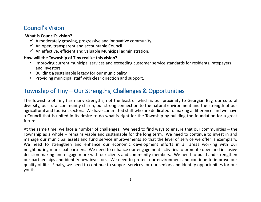# <span id="page-4-0"></span>Council's Vision

### **What is Council's vision?**

- $\checkmark$  A moderately growing, progressive and innovative community.
- $\checkmark$  An open, transparent and accountable Council.
- $\checkmark$  An effective, efficient and valuable Municipal administration.

### **How will the Township of Tiny realize this vision?**

- Improving current municipal services and exceeding customer service standards for residents, ratepayers and investors.
- Building a sustainable legacy for our municipality.
- Providing municipal staff with clear direction and support.

# <span id="page-4-1"></span>Township of Tiny – Our Strengths, Challenges & Opportunities

The Township of Tiny has many strengths, not the least of which is our proximity to Georgian Bay, our cultural diversity, our rural community charm, our strong connection to the natural environment and the strength of our agricultural and tourism sectors. We have committed staff who are dedicated to making a difference and we have a Council that is united in its desire to do what is right for the Township by building the foundation for a great future.

At the same time, we face a number of challenges. We need to find ways to ensure that our communities – the Township as a whole – remains viable and sustainable for the long term. We need to continue to invest in and manage our municipal assets and fund service improvements so that the level of service we offer is exemplary. We need to strengthen and enhance our economic development efforts in all areas working with our neighbouring municipal partners. We need to enhance our engagement activities to promote open and inclusive decision making and engage more with our clients and community members. We need to build and strengthen our partnerships and identify new investors. We need to protect our environment and continue to improve our quality of life. Finally, we need to continue to support services for our seniors and identify opportunities for our youth.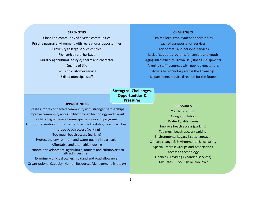### **STRENGTHS**

Close knit community of diverse communities Pristine natural environment with recreational opportunities Proximity to large service centres Rich agricultural heritage Rural & agricultural lifestyle; charm and character Quality of Life Focus on customer service Skilled municipal staff

### **CHALLENGES**

Limited local employment opportunities Lack of transportation services Lack of retail and personal services Lack of support programs for seniors and youth Aging infrastructure (Town Hall, Roads, Equipment) Aligning staff resources with public expectations Access to technology across the Township Departments require direction for the future

### **Strengths, Challenges, Opportunities & Pressures**

### **OPPORTUNITIES**

Create a more connected community with stronger partnerships Improve community accessibility through technology and transit Offer a higher level of municipal services and programs Outdoor recreation (multi-use trails, active lifestyles, beach facilities) Improve beach access (parking) Too much beach access (parking) Protect the environment and water quality in particular Affordable and attainable housing Economic development; agriculture, tourism and culture/arts to attract investment Examine Municipal ownership (land and road allowance) Organizational Capacity (Human Resources Management Strategy)

### **PRESSURES**

Youth Retention Aging Population Water Quality issues Improve beach access (parking) Too much beach access (parking) Environmental Legacy issues (septage) Climate change & Environmental Uncertainty Special Interest Groups and Associations Access to technology Finance (Providing expanded services) Tax Rates – Too High or too low?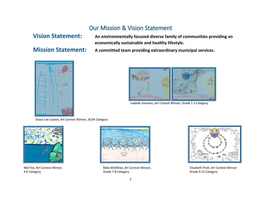

### Our Mission & Vision Statement

<span id="page-6-0"></span>**Vision Statement: An environmentally focused diverse family of communities providing an economically sustainable and healthy lifestyle.**

**Mission Statement: A committed team providing extraordinary municipal services.** 



Isabelle Garneau, Art Contest Winner, Grade 1-3 Category

Grace Lee Caston, Art Contest Winner, JK/SK Category





Neil Fex, Art Contest Winner, Bella McMillan, Art Contest Winner, Elizabeth Pratt, Art Contest Winner 4-6 Category Grade 7-8 Category Grade 9-12 Category

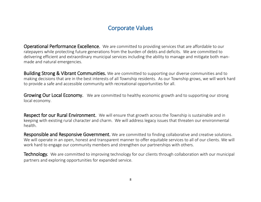### Corporate Values

<span id="page-7-0"></span>Operational Performance Excellence. We are committed to providing services that are affordable to our ratepayers while protecting future generations from the burden of debts and deficits. We are committed to delivering efficient and extraordinary municipal services including the ability to manage and mitigate both manmade and natural emergencies.

**Building Strong & Vibrant Communities.** We are committed to supporting our diverse communities and to making decisions that are in the best interests of all Township residents. As our Township grows, we will work hard to provide a safe and accessible community with recreational opportunities for all.

Growing Our Local Economy. We are committed to healthy economic growth and to supporting our strong local economy.

Respect for our Rural Environment. We will ensure that growth across the Township is sustainable and in keeping with existing rural character and charm. We will address legacy issues that threaten our environmental health.

Responsible and Responsive Government. We are committed to finding collaborative and creative solutions. We will operate in an open, honest and transparent manner to offer equitable services to all of our clients. We will work hard to engage our community members and strengthen our partnerships with others.

**Technology.** We are committed to improving technology for our clients through collaboration with our municipal partners and exploring opportunities for expanded service.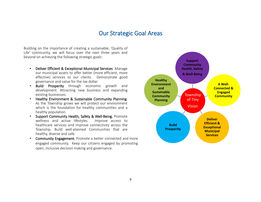### Our Strategic Goal Areas

<span id="page-8-0"></span>Building on the importance of creating a sustainable, 'Quality of Life' community, we will focus over the next three years and beyond on achieving the following strategic goals:

- Deliver Efficient & Exceptional Municipal Services: Manage our municipal assets to offer better (more efficient, more effective) services to our clients. Demonstrate good governance and value for the tax dollar.
- Build Prosperity through economic growth and development. Attracting new business and expanding existing businesses.
- Healthy Environment & Sustainable Community Planning. As the Township grows we will protect our environment which is the foundation for healthy communities and a healthy population.
- Support Community Health, Safety & Well-Being. Promote wellness and active lifestyles. Improve access to healthcare services and improve connectivity across the Township. Build well-planned Communities that are healthy, diverse and safe.
- Community Engagement. Promote a better connected and more engaged community. Keep our citizens engaged by promoting open, inclusive decision making and governance.

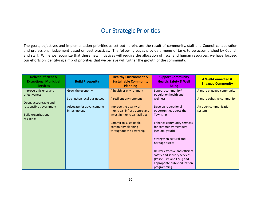### Our Strategic Priorities

<span id="page-9-0"></span>The goals, objectives and implementation priorities as set out herein, are the result of community, staff and Council collaboration and professional judgement based on best practices. The following pages provide a menu of tasks to be accomplished by Council and staff. While we recognize that these new initiatives will require the allocation of fiscal and human resources, we have focused our efforts on identifying a mix of priorities that we believe will further the growth of the community.

| <b>Deliver Efficient &amp;</b><br><b>Exceptional Municipal</b><br><b>Services</b> | <b>Build Prosperity</b>     | <b>Healthy Environment &amp;</b><br><b>Sustainable Community</b><br><b>Planning</b> | <b>Support Community</b><br><b>Health, Safety &amp; Well</b><br><b>Being</b> | <b>A Well-Connected &amp;</b><br><b>Engaged Community</b> |
|-----------------------------------------------------------------------------------|-----------------------------|-------------------------------------------------------------------------------------|------------------------------------------------------------------------------|-----------------------------------------------------------|
| Improve efficiency and                                                            | Grow the economy            | A healthier environment                                                             | Support community/                                                           | A more engaged community                                  |
| effectiveness                                                                     |                             |                                                                                     | population health and                                                        |                                                           |
| Open, accountable and                                                             | Strengthen local businesses | A resilient environment                                                             | wellness                                                                     | A more cohesive community                                 |
| responsible government                                                            | Advocate for advancements   | Improve the quality of                                                              | Develop recreational                                                         | An open communication                                     |
|                                                                                   | in technology               | municipal infrastructure and                                                        | opportunities across the                                                     | system                                                    |
| <b>Build organizational</b>                                                       |                             | invest in municipal facilities                                                      | Township                                                                     |                                                           |
| resilience                                                                        |                             | Commit to sustainable                                                               | Enhance community services                                                   |                                                           |
|                                                                                   |                             | community planning                                                                  | for community members                                                        |                                                           |
|                                                                                   |                             | throughout the Township                                                             | (seniors, youth)                                                             |                                                           |
|                                                                                   |                             |                                                                                     | Strengthen cultural and<br>heritage assets                                   |                                                           |
|                                                                                   |                             |                                                                                     | Deliver effective and efficient                                              |                                                           |
|                                                                                   |                             |                                                                                     | safety and security services                                                 |                                                           |
|                                                                                   |                             |                                                                                     | (Police, Fire and EMS) and                                                   |                                                           |
|                                                                                   |                             |                                                                                     | appropriate public education                                                 |                                                           |
|                                                                                   |                             |                                                                                     | programming.                                                                 |                                                           |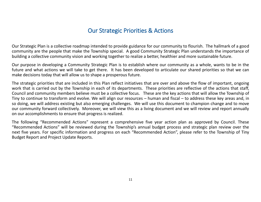# Our Strategic Priorities & Actions

<span id="page-10-0"></span>Our Strategic Plan is a collective roadmap intended to provide guidance for our community to flourish. The hallmark of a good community are the people that make the Township special. A good Community Strategic Plan understands the importance of building a collective community vision and working together to realize a better, healthier and more sustainable future.

Our purpose in developing a Community Strategic Plan is to establish where our community as a whole, wants to be in the future and what actions we will take to get there. It has been developed to articulate our shared priorities so that we can make decisions today that will allow us to shape a prosperous future.

The strategic priorities that are included in this Plan reflect initiatives that are over and above the flow of important, ongoing work that is carried out by the Township in each of its departments. These priorities are reflective of the actions that staff, Council and community members believe must be a collective focus. These are the key actions that will allow the Township of Tiny to continue to transform and evolve. We will align our resources – human and fiscal – to address these key areas and, in so doing, we will address existing but also emerging challenges. We will use this document to champion change and to move our community forward collectively. Moreover, we will view this as a living document and we will review and report annually on our accomplishments to ensure that progress is realized.

The following "Recommended Actions" represent a comprehensive five year action plan as approved by Council. These "Recommended Actions" will be reviewed during the Township's annual budget process and strategic plan review over the next five years. For specific information and progress on each "Recommended Action", please refer to the Township of Tiny Budget Report and Project Update Reports.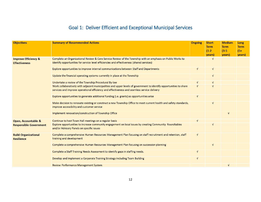### Goal 1: Deliver Efficient and Exceptional Municipal Services

<span id="page-11-0"></span>

| <b>Objectives</b>                                       | <b>Summary of Recommended Actions</b>                                                                                                                                                                              | <b>Ongoing</b> | <b>Short</b><br><b>Term</b><br>$(1-2)$<br>years) | <b>Medium</b><br><b>Term</b><br>$(3-5)$<br>years) | Long<br><b>Term</b><br>$(5+$<br>years) |
|---------------------------------------------------------|--------------------------------------------------------------------------------------------------------------------------------------------------------------------------------------------------------------------|----------------|--------------------------------------------------|---------------------------------------------------|----------------------------------------|
| <b>Improve Efficiency &amp;</b><br><b>Effectiveness</b> | Complete an Organizational Review & Core Service Review of the Township with an emphasis on Public Works to<br>identify opportunities for service level efficiencies and effectiveness (shared services)           |                | $\sqrt{ }$                                       |                                                   |                                        |
|                                                         | Explore opportunities to improve internal communications between Staff and Departments                                                                                                                             | $\sqrt{ }$     | $\sqrt{ }$                                       |                                                   |                                        |
|                                                         | Update the financial operating systems currently in place at the Township                                                                                                                                          |                | $\sqrt{ }$                                       |                                                   |                                        |
|                                                         | Undertake a review of the Township Procedural By-law                                                                                                                                                               | $\sqrt{ }$     | $\sqrt{ }$                                       |                                                   |                                        |
|                                                         | Work collaboratively with adjacent municipalities and upper levels of government to identify opportunities to share<br>services and improve operational efficiency and effectiveness and seamless service delivery | $\sqrt{ }$     | $\sqrt{ }$                                       |                                                   |                                        |
|                                                         | Explore opportunities to generate additional funding (i.e. grants) as opportunities arise                                                                                                                          | $\sqrt{ }$     |                                                  |                                                   |                                        |
|                                                         | Make decision to renovate existing or construct a new Township Office to meet current health and safety standards,<br>improve accessibility and customer service                                                   |                | $\sqrt{ }$                                       |                                                   |                                        |
|                                                         | Implement renovation/construction of Township Office                                                                                                                                                               |                |                                                  | $\sqrt{ }$                                        |                                        |
| Open, Accountable &<br><b>Responsible Government</b>    | Continue to host Town Hall meetings on a regular basis                                                                                                                                                             | $\sqrt{ }$     |                                                  |                                                   |                                        |
|                                                         | Explore opportunities to increase community engagement on local issues by creating Community Roundtables<br>and/or Advisory Panels on specific issues                                                              |                | $\sqrt{ }$                                       |                                                   |                                        |
| <b>Build Organizational</b><br><b>Resilience</b>        | Complete a comprehensive Human Resources Management Plan focusing on staff recruitment and retention, staff<br>training and development                                                                            | $\sqrt{ }$     |                                                  |                                                   |                                        |
|                                                         | Complete a comprehensive Human Resources Management Plan focusing on succession planning                                                                                                                           |                | $\sqrt{ }$                                       |                                                   |                                        |
|                                                         | Complete a Staff Training Needs Assessment to identify gaps in staffing needs.                                                                                                                                     | $\sqrt{ }$     |                                                  |                                                   |                                        |
|                                                         | Develop and implement a Corporate Training Strategy including Team Building                                                                                                                                        | $\sqrt{ }$     |                                                  |                                                   |                                        |
|                                                         | <b>Review Performance Management System</b>                                                                                                                                                                        |                |                                                  | $\sqrt{ }$                                        |                                        |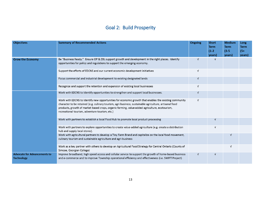### Goal 2: Build Prosperity

<span id="page-12-0"></span>

| <b>Objectives</b>                                        | <b>Summary of Recommended Actions</b>                                                                                                                                                                                                                                                                                                                               | <b>Ongoing</b> | <b>Short</b><br><b>Term</b><br>$(1-2)$<br>years) | <b>Medium</b><br><b>Term</b><br>$(3-5)$<br>years) | Long<br><b>Term</b><br>$(5 +$<br>years) |
|----------------------------------------------------------|---------------------------------------------------------------------------------------------------------------------------------------------------------------------------------------------------------------------------------------------------------------------------------------------------------------------------------------------------------------------|----------------|--------------------------------------------------|---------------------------------------------------|-----------------------------------------|
| <b>Grow the Economy</b>                                  | Be "Business Ready." Ensure OP & ZBL support growth and development in the right places. Identify<br>opportunities for policy and regulations to support the emerging economy.                                                                                                                                                                                      | $\sqrt{ }$     | $\sqrt{ }$                                       |                                                   |                                         |
|                                                          | Support the efforts of EDCNS and our current economic development initiatives                                                                                                                                                                                                                                                                                       | $\sqrt{ }$     |                                                  |                                                   |                                         |
|                                                          | Focus commercial and industrial development to existing designated lands                                                                                                                                                                                                                                                                                            | V              |                                                  |                                                   |                                         |
|                                                          | Recognize and support the retention and expansion of existing local businesses                                                                                                                                                                                                                                                                                      | V              |                                                  |                                                   |                                         |
|                                                          | Work with EDCNS to Identify opportunities to strengthen and support local businesses.                                                                                                                                                                                                                                                                               | V              |                                                  |                                                   |                                         |
|                                                          | Work with EDCNS to Identify new opportunities for economic growth that enables the existing community<br>character to be retained (e.g. culinary tourism, agri-business, sustainable agriculture, artisanal food<br>products, growth of market based crops, organic farming, value-added agriculture, ecotourism,<br>recreational tourism, adventure tourism, etc.) | $\sqrt{ }$     |                                                  |                                                   |                                         |
|                                                          | Work with partners to establish a local Food Hub to promote local product processing                                                                                                                                                                                                                                                                                |                | $\sqrt{ }$                                       |                                                   |                                         |
|                                                          | Work with partners to explore opportunities to create value-added agriculture (e.g. create a distribution<br>hub and supply local stores).                                                                                                                                                                                                                          |                | $\sqrt{ }$                                       |                                                   |                                         |
|                                                          | Work with agricultural partners to develop a Tiny Farm Brand and capitalize on the local food movement,<br>culinary tourism and sustainable agriculture and agri-business                                                                                                                                                                                           |                |                                                  | V                                                 |                                         |
|                                                          | Work as a key partner with others to develop an Agricultural Food Strategy for Central Ontario (County of<br>Simcoe, Georgian College)                                                                                                                                                                                                                              |                |                                                  | $\sqrt{ }$                                        |                                         |
| <b>Advocate for Advancements to</b><br><b>Technology</b> | Improve broadband, high speed access and cellular service to support the growth of home-based business<br>and e-commerce and to improve Township operational efficiency and effectiveness (i.e. SWIFT Project)                                                                                                                                                      | V              | $\sqrt{ }$                                       |                                                   |                                         |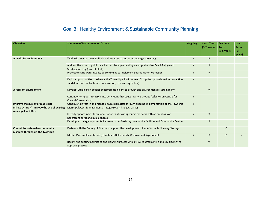### Goal 3: Healthy Environment & Sustainable Community Planning

<span id="page-13-0"></span>

| Objectives                                                                                               | <b>Summary of Recommended Actions</b>                                                                                                                                | Ongoing    | <b>Short Term</b><br>$(1-2 \text{ years})$ | <b>Medium</b><br>Term<br>$(3-5 \text{ years})$ | Long<br>Term<br>$(5+)$<br>years) |
|----------------------------------------------------------------------------------------------------------|----------------------------------------------------------------------------------------------------------------------------------------------------------------------|------------|--------------------------------------------|------------------------------------------------|----------------------------------|
| A healthier environment                                                                                  | Work with key partners to find an alternative to untreated septage spreading                                                                                         | $\sqrt{ }$ | V                                          |                                                |                                  |
|                                                                                                          | Address the issue of public beach access by implementing a comprehensive Beach Enjoyment<br>Strategy for Tiny (Project BEST)                                         | $\sqrt{ }$ | $\sqrt{ }$                                 |                                                |                                  |
|                                                                                                          | Protect existing water quality by continuing to implement Source Water Protection                                                                                    | $\sqrt{ }$ | $\sqrt{ }$                                 |                                                |                                  |
|                                                                                                          | Explore opportunities to advance the Township's Environment First philosophy (shoreline protection,<br>sand dune and cobble beach preservation; tree cutting by-law) | $\sqrt{ }$ |                                            |                                                |                                  |
| A resilient environment                                                                                  | Develop Official Plan policies that promote balanced growth and environmental sustainability                                                                         |            | $\sqrt{ }$                                 |                                                |                                  |
|                                                                                                          | Continue to support research into conditions that cause invasive species (Lake Huron Centre for<br>Coastal Conservation)                                             | $\sqrt{ }$ |                                            |                                                |                                  |
| Improve the quality of municipal<br>infrastructure & improve the use of existing<br>municipal facilities | Continue to invest in and manage municipal assets through ongoing implementation of the Township<br>Municipal Asset Management Strategy (roads, bridges, parks)      | $\sqrt{ }$ |                                            |                                                |                                  |
|                                                                                                          | Identify opportunities to enhance facilities at existing municipal parks with an emphasis on<br>beachfront parks and public spaces                                   | $\sqrt{ }$ | $\sqrt{ }$                                 |                                                |                                  |
|                                                                                                          | Develop a strategy to promote increased use of existing community facilities and Community Centres                                                                   |            | $\sqrt{ }$                                 |                                                |                                  |
| Commit to sustainable community<br>planning throughout the Township                                      | Partner with the County of Simcoe to support the development of an Affordable Housing Strategy                                                                       |            |                                            |                                                |                                  |
|                                                                                                          | Master Plan implementation (Lafontaine, Balm Beach, Wyevale and Wyebridge)                                                                                           | $\sqrt{ }$ | $\sqrt{ }$                                 | $\sqrt{ }$                                     | $\sqrt{ }$                       |
|                                                                                                          | Review the existing permitting and planning process with a view to streamlining and simplifying the<br>approval process                                              |            | $\sqrt{ }$                                 |                                                |                                  |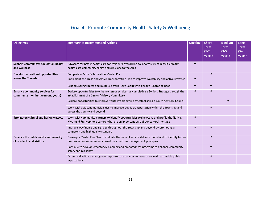### Goal 4: Promote Community Health, Safety & Well-being

<span id="page-14-0"></span>

| <b>Objectives</b>                                                           | <b>Summary of Recommended Actions</b>                                                                                                                                            | Ongoing    | <b>Short</b><br><b>Term</b><br>$(1-2)$<br>years) | <b>Medium</b><br><b>Term</b><br>$(3-5)$<br>years) | <b>Long</b><br><b>Term</b><br>$(5+$<br>years) |
|-----------------------------------------------------------------------------|----------------------------------------------------------------------------------------------------------------------------------------------------------------------------------|------------|--------------------------------------------------|---------------------------------------------------|-----------------------------------------------|
| Support community/ population health<br>and wellness                        | Advocate for better health care for residents by working collaboratively to recruit primary<br>health care community clinics and clinicians to the Area                          | $\sqrt{ }$ |                                                  |                                                   |                                               |
| Develop recreational opportunities                                          | Complete a Parks & Recreation Master Plan                                                                                                                                        |            | $\sqrt{ }$                                       |                                                   |                                               |
| across the Township                                                         | Implement the Trails and Active Transportation Plan to improve walkability and active lifestyles                                                                                 | $\sqrt{ }$ |                                                  |                                                   |                                               |
|                                                                             | Expand cycling routes and multi-use trails (Lake Loop) with signage (Share the Road)                                                                                             | $\sqrt{ }$ | $\sqrt{ }$                                       |                                                   |                                               |
| <b>Enhance community services for</b><br>community members (seniors, youth) | Explore opportunities to enhance senior services by completing a Seniors Strategy through the<br>establishment of a Senior Advisory Committee                                    | $\sqrt{ }$ | $\sqrt{ }$                                       |                                                   |                                               |
|                                                                             | Explore opportunities to improve Youth Programming by establishing a Youth Advisory Council                                                                                      |            |                                                  | $\sqrt{ }$                                        |                                               |
|                                                                             | Work with adjacent municipalities to improve public transportation within the Township and<br>across the County and beyond                                                       |            | $\sqrt{ }$                                       |                                                   |                                               |
| Strengthen cultural and heritage assets                                     | Work with community partners to identify opportunities to showcase and profile the Native,<br>Métis and Francophone cultures that are an important part of our cultural heritage | $\sqrt{ }$ |                                                  |                                                   |                                               |
|                                                                             | Improve wayfinding and signage throughout the Township and beyond by promoting a<br>consistent and high quality standard                                                         | $\sqrt{ }$ | $\sqrt{ }$                                       |                                                   |                                               |
| Enhance the public safety and security<br>of residents and visitors         | Develop a Master Fire Plan to evaluate the current service delivery model and to identify future<br>fire protection requirements based on sound risk management principles       |            | V                                                |                                                   |                                               |
|                                                                             | Continue to develop emergency planning and preparedness programs to enhance community<br>safety and resiliency                                                                   |            | $\sqrt{ }$                                       |                                                   |                                               |
|                                                                             | Assess and validate emergency response core services to meet or exceed reasonable public<br>expectations.                                                                        |            | $\sqrt{ }$                                       |                                                   |                                               |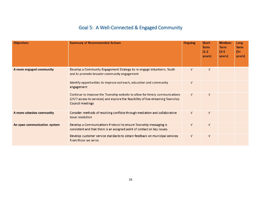### Goal 5: A Well-Connected & Engaged Community

<span id="page-15-0"></span>

| <b>Objectives</b>            | <b>Summary of Recommended Actions</b>                                                                                                                                                      | <b>Ongoing</b> | <b>Short</b><br><b>Term</b><br>$(1-2)$<br>years) | <b>Medium</b><br>Term<br>$(3-5)$<br>years) | Long<br><b>Term</b><br>$(5+)$<br>years) |
|------------------------------|--------------------------------------------------------------------------------------------------------------------------------------------------------------------------------------------|----------------|--------------------------------------------------|--------------------------------------------|-----------------------------------------|
| A more engaged community     | Develop a Community Engagement Strategy to re-engage Volunteers, Youth<br>and to promote broader community engagement                                                                      | $\sqrt{ }$     | $\sqrt{ }$                                       |                                            |                                         |
|                              | Identify opportunities to improve outreach, education and community<br>engagement                                                                                                          | V              |                                                  |                                            |                                         |
|                              | Continue to improve the Township website to allow for timely communications<br>(24/7 access to services) and explore the feasibility of live-streaming Township<br><b>Council meetings</b> | $\sqrt{ }$     | $\sqrt{ }$                                       |                                            |                                         |
| A more cohesive community    | Consider methods of resolving conflicts through mediation and collaborative<br>issue resolution                                                                                            | V              | $\sqrt{ }$                                       |                                            |                                         |
| An open communication system | Develop a Communications Protocol to ensure Township messaging is<br>consistent and that there is an assigned point of contact on key issues.                                              | $\sqrt{ }$     | $\sqrt{ }$                                       |                                            |                                         |
|                              | Develop customer service standards to obtain feedback on municipal services<br>from those we serve.                                                                                        | $\sqrt{ }$     | $\sqrt{ }$                                       |                                            |                                         |